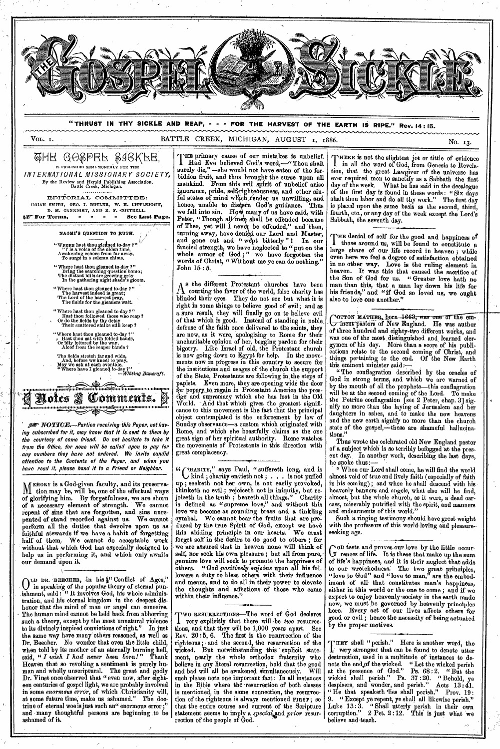

of glorifying him. By forgetfulness, we are shorn of a necessary element of strength. We cannot repent of sins that are forgotten, and sins unrepented of stand recorded against us. We cannot perform all the duties that devolve upon us as faithful stewards if we have a habit of forgetting half of them. We cannot do acceptable work without that which God has especially designed to help us in performing it, and which only awaits our demand upon it.

**O LD DR.** 'BEECHER, in his I" Conflict of Ages," in speaking of the popular theory of eternal punishment, said : " It involves God, his whole administration, and his eternal kingdom in the deepest dishonor that the mind of man or angel can conceive. The human mind cannot be held back from abhorring such a theory, except by the most unnatural violence to its divinely inspired convictions of right." In just the same way have many' others reasoned, as well as Dr. Beecher. No wonder that even the little child, when told by its mother of an eternally burning hell, said, " *I wish I had never been born!"* Thank Heaven that so revolting a sentiment is purely human and wholly unsoriptural. The great and godly Dr. Vinet once observed that "even now, after eighteen centuries of gospel light, we are probably involved in some *enormous error,* of which Christianity will, at some future time, make us ashamed." The doctrine of eternal woe is just such an" enormous error ;" and -many thoughtful persons are beginning to be ashamed of it.

joiceth in the truth ; beareth all things." Charity is defined as " supreme love," and without this love we become as sounding brass and a tinkling cymbal. We oannot bear the fruits that are produced by the true Spirit of God, except we have<br>his abiding principle in our hearts. We must this abiding principle in our hearts. forget self in the desire to do good to others ; for we are assured that in heaven none will think of self, nor seek his own pleasure; but all from pure, genuine love will seek to promote the happiness of others. "God *positively enjoins* upon all his followers a duty to bless others with their influence and means, and to do all in their power to elevate the thoughts and affections of those who come within their influence."

Two RESURRECTIONS—The word of God declares<br>
very explicitly that there will be *two* resurrecvery explicitly that there will -be *two* resurrections, and that they will be 1,000 years apart. See Rev. 20 : 5, 6. The first is the resurrection of the righteous; , and the second, the resurrection of the wicked. But notwithstanding this ' explicit statement, nearly the whole orthodox fraternity who ment, userly the many component contraction.<br>believe in any literal resurrection, hold that the good and bad will all be awakened simultaneously. Will such please note one 'important fact : In all instances in the Bible where the resurrection of both classes is mentioned, in the same connection, the resurrection of the righteous is always mentioned **FIRST;** so that the entire course and current of the Scripture statement seems to imply a *special* and *prior* resurrection of the people of God.

I in all the word of God, from Genesis to Revelation, that the great Lawgiver of the universe has ever required men to sanctify as a Sabbath the first<br>day of the week. What he has said in the decalogue day of the week. What he has said in the decalogue of the first day is found in these words: "Six days shalt thou labor and do all thy work." The first day is placed upon the same basis as the second, third, fourth, etc., or any day of the week except the Lord's

THE denial of self for the good and happiness of those around us, will be found to constitute a those around us, will be found to constitute a large share of our life record in heaven ; while even here we feel a degree of satisfaction obtained in no other way. Love is the ruling element in heaven. It was this that caused the sacrifice of the Son of God for us. " Greater love hath no man than this, that a man lay down his life for his friends," and "if God so loved us, we ought

of three hundred and eighty-two different works, and cations relate to the second coming of Christ, and things pertaining to the end. Of the New Earth

God in strong terms, and which we are warned of by the mouth of all the prophets—this conflagration will be at the second coming of the Lord. To *make ' nify* no more than the laying of Jerusalem and her and the new earth signify no more than the church

" When our Lord shall come, he will find the world almost, but the whole church, as it were, a dead carcass, miserably putrified with the spirit, and manners and endearments of this world."

Such a ringing testimony should have great weight with the professors of this world-loving and pleasureseeking age.

Governs and proves our love by the intime occur*on* tests and proves our love by the little occurof life's happiness, and it is their neglect that adds to our wretchedness: The two great principles, "love to God" and "love to man," are the embodiment of all that constitutes man's happiness, either in this world or the one to come; and if we expect to enjoy heavenly society in the earth made new, we must be governed by heavenly principles here. Every act of our lives affects others for good or evil ; hence the necessity of being actuated by the proper motives.

THEY SHAH " perish. There is another word, the<br>very strongest that can be found to denote utter<br>destruction, used in a multitude of instances to de-HEY shall "perish." Here is another word, the very strongest that can be found to denote utter note the end of the wicked. "Let the wicked perish at the presence of God." Ps. 68:2. "But the wicked shall perish." Ps. 37 : 20. " Behold, ye despisers, and wonder, and perish." Acts 13:41. " He that speaketh 'lies shall perish." Prov. 19: 9. " Except ye repent, ye shall all likewise perish." Luke 13:3. "Shall utterly perish in their own corruption." 2 Pet. 2 :12. This is just what 'we believe and teach.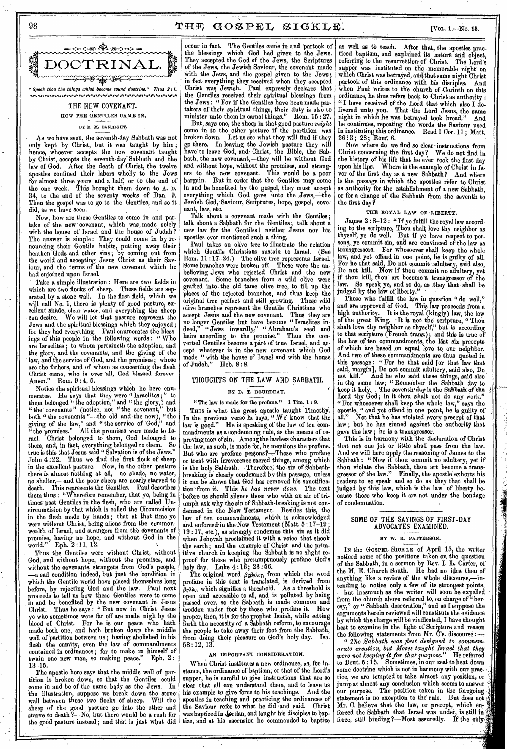# 98 THE GOSPEL SIGKLE.  $N_{\text{UL 1,--No. 18}}$



# THE NEW COVENANT. HOW THE GENTILES CAME IN.

### ST D. M. OANRIGHT.

As we have seen, the seventh-day Sabbath was not only kept by Christ, but it was taught by him ; hence, whoever accepts the new covenant taught by Christ, accepts the seventh-day-Sabbath and the After the death of Christ, the twelve apostles confined their labors wholly to the Jews for almost three years and a half, or to the end of the one week. This brought them down to A. D. 34, to the end of the seventy weeks of Dan. 9. Then the gospel was to go to the Gentiles, and so it did, as we have seen.

Now, how are these Gentiles to come in and partake of the new covenant, which was made solely with the house of Israel and the house of Judah ? The answer is simple : They could come in by renouncing their Gentile habits, putting away their heathen Gods and other sins ; by coming out from the world and accepting Jesus Christ as their Saviour, and the terms of the new covenant which he had enjoined upon Israel.

Take a simple illustration : Here are two fields in which are two flocks of sheep. These fields are separated by a stone wall. In the first field, which we will call No. 1, there is plenty of good pasture, excellent shade, vicar water, and everything the sheep can desire. We will let that pasture represent the Jews and the spiritual blessings which they enjoyed; for they had everything. Paul enumerates the blessings of this people in the following words : " Who are Israelites ; to whom pertaineth the adoption, and the glory, and the covenants, and the giving of the law, and the service of God, and the promises; whose are the fathers, and of whom as concerning the flesh Christ came, who is over all, God blessed forever. Amen." Rom. 9:4, 5.

Notice the spiritual blessings which he here enumerates. He says that they were " Israelites ; " to them belonged " the adoption," and " the glory," and "the covenants" (notice, not "the covenant," but both "the covenants "—the old and •the new), "the giving of the law," and " the service of God," and "the promises." All the promises were made to Israel. Christ belonged to them, God belonged to them, and, in fact, everything belonged to them. So true is this that Jesus said "Salvation is of the Jews." John 4 :22. Thus we find the' first flock of sheep in the excellent pasture. Now, in the other pasture there is almost nothing at all,—no shade, no water, no shelter,—and the poor sheep are nearly starved to death. This represents the Gentiles. Paul describes them thus : "Wherefore remember, that ye, being in times past Gentiles in the flesh, who are called Uncircumcision by that which is called the Circumcision in the flesh made by hands; that at that time ye were without Christ, being aliens from the commonwealth of Israel, and strangers from the dovenants of promise, having no hope, and without God in the world." Eph. 2:11, 12.

Thus the Gentiles were without Christ, without God, and without hope, without the promises, and without the covenants, strangers from God's people, —a sad condition indeed, but just the condition in which the Gentile world have placed themselves long before, by rejecting 'God and the law. Paul next proceeds to tell us how these Gentiles were to come in and be benefited by the new covenant in Jesus Christ. Thus he says: "But now in Christ Jesus ye who sometimes were far off are made nigh by the blood of Christ. For he is our peace who hath made both one, and hath broken down the middle wall of partition between us ; having abolished in his flesh the enmity, even the law of commandments contained in ordinances; for to make in himself of<br>twain one new man, so making peace." Eph. 2: twain one new man, so making peace. 13-15.

The apostle here says that the middle wall of partition is broken down, so that the Gentiles could come in and be of the same bedy as the Jews. In the illustration, suppose we break down the stone wall between those two flocks of sheep. Will the sheep of the good pasture go into the other and starve to death ?—No, but there would' be a rush for the good pasture instead; and that is just what did

occur in fact. The Gentiles came in and 'partook of the blessings which God had given to the Jews. which God had given to the Jews. They accepted the God of the Jews, the Scriptures of the Jews, the Jewish Saviour, the covenant made with the Jews, and the gospel given to the Jews; in fact everything they received when they accepted Christ was Jewish. Paul expressly declares that the Gentiles received their spiritual blessings from the Jews : " For if the Gentiles have been made partakers of their spiritual things, their duty is also to minister unto them in carnal things."

But, *says* one, the sheep in that good pasture *might*  come in to the other pasture if the partition was broken down. Let us see what they will find if they go there. In leaving the Jewish pasture they will have to leave God, and- Christ, the Bible, the Sabbath, the new covenant,—they will be without God and without hope, without the promises, and strangers to the new covenant. This would be a poor bargain. But in order that the Gentiles may come in and be benefited by the gospel, they must accept everything which God gave unto the Jews,-the Jewish God, Saviour, Scriptures, hope, gospel, covenant, law, etc.

Talk about a covenant made with the Gentiles; talk about a Sabbath for the Gentiles; talk about a new law for the Gentiles I neither Jesus nor his apostles ever mentioned such a thing.

Paul takes an olive tree to illustrate the relation which Gentile Christians sustain to Israel. *(See*  Rom. 11 :17-24.) The olive tree represents Israel. Some branches were broken off. These were the unbelieving Jews who rejected Christ and the new covenant. Some branches from a wild olive were grafted into- the old tame olive tree, to fill up the places of the rejected branches, and thus keep the original tree perfect and still growing. These wild olive branches represent the Gentile Christians who accept Jesus and the new covenant. Thus they are no longer Gentiles but have become "Israelites indeed," "Jews inwardly," " Abraham's seed and heirs according to the promise." Thus the converted Gentiles become a part of true Israel, and accept whatever is in the new covenant which God made " with the house of Israel and with the house of Judah." Heb. 8 : 8.

### THOUGHTS ON THE LAW AND SABBATH.

#### BY D. T. BOURDEAU.

#### "The law is made for the profane." 1 Tim. 1 : 9.

THIS is what the great apostle taught Timothy. In the previous verse he says, "We' know that the law is good." He is speaking of the law of ten com-He is speaking of the law of ten commandments as a condemning rule, as the means of reproving men of sin. Among the lawless characters that the law, as such, is made for, he mentions the profane. But who are profane persons?—Those who profane or treat with irreverence sacred things, among which is the holy Sabbath. Therefore; the sin of Sabbathbreaking is clearly condemned by this passage, unless it can be shown that God has removed his sanctification 'from it. This *he has never done.* The text before us should silence those who with an air of triumph ask why the sin of Sabbath-breaking is not condemned in the New Testament. Besides this, the law of ten commandments, which is acknowledged and enforced in the New Testament (Matt.  $5:17-\tilde{1}9$ 19 :17, etc.), as strongly condemns this sin as it did when Jehovah proclaimed it with a voice that shook the earth; and the example of Christ and the primitive church in keeping the Sabbath is no slight reproof for those who presumptuously profane God's holy day. Luke 4 :16; 23 :66.

The original word  $\beta \epsilon \beta \eta \lambda_o \epsilon$ , from which the word profane in this text is translated, is derived from  $\beta_{\eta\lambda\delta\varsigma}$ , which signifies a threshold. As a threshold is open and accessible to all, and is polluted by being passed over, so the Sabbath is made common and trodden under foot by those who profane it. How proper, then, it is for the prophet Isaiah, while setting forth the necessity of a Sabbath reform, to encourage the people to take away their foot from the Sabbath, from doing their pleasure on God's holy day. Isa.  $58:12,\,13.$ 

### AN IMPORTANT CONSIDERATION.

When Christ institutes a new ordinance, as, for instance, the ordinance of baptism; or that of the Lord's supper, he is careful to give instructions that are so clear that all can understand them, and to leave us<br>his example to give force to his teachings. And the his example to give force to his teachings. apostles in teaching and practicing the ordinances of the Saviour refer to what he did and said, Christ was baptized in Jordan, and taught his disciples to baptize, and at his ascension he commanded to baptize

as well as to teach. After that, the apostles practiced baptism, and explained its nature and object, referring to the resurrection of Christ. The Lord's supper was instituted on the memorable night on which Christ was betrayed, and that same night Christ partook of this ordinance with his disciples. And hen Paul writes to the church of Corinth on this ordinance, he thus refers back to Christ as authority : " I have received of the Lord that which also I delivered unto you. That the Lord Jesus, the same night in which he was betrayed took bread." And he continues, repeating the words the Saviour used in instituting this ordinance. Read 1 Cor. 11 ; Matt.  $26:3$ ;  $28$ ; Rom: 6.

Now where do we find so clear instructions from Christ concerning the first day? We do not find in the history of his life that he ever took the first day upon his lips. Where is the example of Christ in faupon his lips. Where is the example of Unrist in ra-<br>vor of the first day as a new Sabbath? And where is the passage in which the apostles refer to Christ as authority for the establishment of a new Sabbath, or for a change of the Sabbath from the seventh to the first day?

### THE ROYAL LAW OF LIBERTY.

James  $2:8-12:$  "If ye fulfill the royal law according to the scripture, Thou shalt love thy neighbor as thyself; ye do well. But if ye have respect to persons, ye commit sin, and are convinced of the law as transgressors. For whosoever shall keep the whole law, and yet offend in one point, he is guilty of all. For he that said, Do not commit adultery, said also, Do not kill. Now if thou commit no adultery, yet if thou kill, thou' art become a transgressor of the law. So speak, ye, and so do, as they that shall be judged by the law of liberty."

Those who fulfill the law in question " do well," and are approved of God. This law proceeds from a high authority. It is the royal (kingly) law, the law of the great King. It is not the scripture, " Thou shalt love thy neighbor as thyself;" but is according to that scripture (French trans.); and this is true of the law of ten commandments, the hist six precepts of which are based on equal love to our neighbor. And two of these commandments are thus quoted in this passage : " For he that said [or that law that said, margin], Do not commit adultery, said also, Do not kill." And he who said these things and also not kill." And he who said these things, said also in the same law, "Remember the Sabbath day to keep it holy. . The seventh day is the Sabbath of the  $\,$ Lord thy God; in it thou shalt not do any work." " For whosoever shall keep the whole law," *says* the apostle, " and yet offend in one point, he is guilty of all." Not that he has violated every precept of that law ; but he has sinned against the authority that gave the law ; he is a transgressor.

This is in harmony with the declaration of Christ that not one jot or tittle shall pass from the law. And we will here apply the reasoning of James to the Sabbath : " Now if thou commit no adultery, yet if thou violate the Sabbath, thou art become a transgressor of the law." Finally, the apostle exhorts his readers to so speak and so do as they that shall be judged by this law, which is the law of liberty because those who keep it are not under the bondage of condemnation.

### SOME OF THE SAYINGS OF FIRST-DAY ADVOCATES EXAMINED.

#### BY W. R. PATTERSON.

IN the GOSPEL SICKLE of April 15, the writer noticed some of the positions taken on the question of the Sabbath, in a sermon by Rev. I.  $\mathbf L$ . Carter, of the M. E. Church South. He had no idea then of anything like a review of the whole discourse,—intending to notice only a few of its strongest points, —but inasmuch as the writer will soon be expelled from the church above referred to, on charge of "heresy," or " Sabbath desecration," and as I suppose the arguments herein reviewed will constitute the evidence by which the charge will be vindicated, I have thought best to examine in the light of Scripture and reason the following statements from Mr. C's. discourse :

" *The Sabbath was first designed to commemorate creation, but Moses taught Israel that they were not keeping it for that purpose."* He referred to Deut. 5 :15. Sometimes, in our zeal' to beat down some doctrine which is not in harmony with our practice, we are tempted 'to take almost any position, or jump at almost any conclusion which seems to answer our purpose. The position taken in the foregoing statement is no exception to the rule. But does not Mr. C. believe that the law, or precept, which enforced the Sabbath that Israel was under, is still in force, still binding ?- Most assuredly. If the only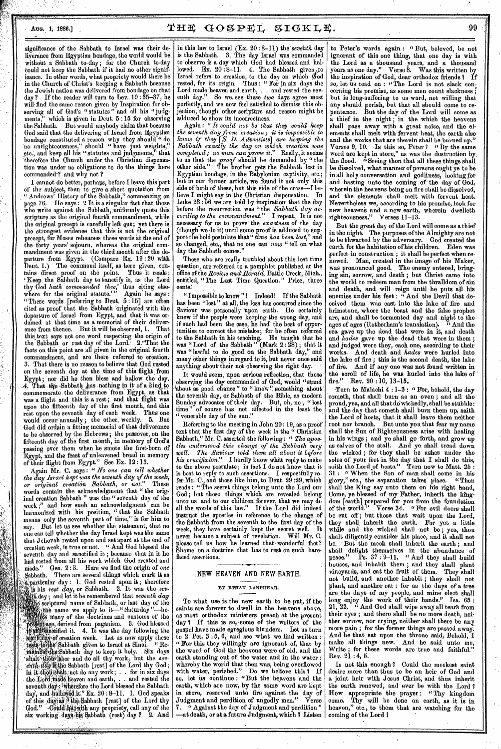signifioanee of the Sabbath to Israel was their deliverance from Egyptian bondage, the world would be without a Sabbath to-day ; for the Church to-day could not keep the Sabbath if it had no other significance. In other words, what propriety would there be in the Church of Christ's keeping a Sabbath because the Jewish nation was delivered from bondage *on* that If the reader will turn to Lev.  $19:35-37$ , he will'find the same reason given by Inspiration for observing all of God's " statutes " and all his "judgments," which is given in Deut. 5:15 for observing the Sabbath. But would anybody claim that because God said that the delivering of Israel from Egyptian bondage constituted a reason why they should " do no unrighteousness," should " have just weights," etc., and keep all his "statutes and judgments," that therefore the Church under the Christian dispensation was under no obligations to do the things here commanded<sup>-?</sup> and why not ?

I cannot do better, perhaps, before I leave this part Of the subject, than to give a short quotation from " Andrews' History of the Sabbath," commencing on page 76. He says: "It is a singular fact that those who write against the Sabbath, uniformly quote this scripture as the original fourth commandment, while the original precept is carefully left qut; yet there is the strongest evidence that this is not the original precept, for Moses rehearses these words at the end of the forty years' sojourn, whereas the original commandment was given in the third month after the departure from Egypt. (Compare Ex. 19 : 20 with Deut. 1.) The command itself, as here given, con-Deut. 1.) The command itself, as here given, contains direct proof on the point. Thus it reads ' Keep, the Sabbath day to Sanctify it, as the Lord thy God *hath commanded thee,'* thus citing elsewhere for the original statute.' " Again he *says :*  "These words [referring to Deut. 5 : 15] are often cited as proof that the Sabbath 'originated with the departure of Israel from Egypt, and that it was ordained at that time as a memorial of their deliverance from thence. But it will be observed, 1. That this text says not one word respecting the origin of the Sabbath or rest day of the Lord. 2. That the facts on this point are all given in the original fourth commandment, and are there referred to creation. 3. That there is no reason to believe that God rested on the seventh day at the time of this flight. from Egypt; nor did he then bless and hallow the day. *A. That the Sabbath has nothing in it of a kind to*. commemorate the deliverance from.Egypt, as that was a flight and this is a rest; and that flight was upon the fifteenth day of the first month, and this rest upon the seventh day of each week. Thus one would occur annually; the other, weekly. 5. But God did ordain a fitting memorial of that deliverance to be observed by the Hebrews; the passover, on the fifteenth day of. the first month, in memory of God's passing over them when he smote the first-born df Egypt, and the feast of unleavened bread in memory of their flight from Egypt." See Ex. 12 :13.

ć.

Again Mr. C. says : " *No one can tell whether the day Israel kept was the seventh day of the week, or original creation Sabbath, or not."* These words contain the acknowledgment that " the original creation Sabbath " was the " seventh day of the week ;" and how such an acknowledgment' can be 'harmonized with his position, " that the Sabbath means only the seventh part of time,' is for him to say. But let us see whether the statement, that no one can tell whether the day Israel kept was the same that Jehovah rested upon and set apart at the end of creation week, is true or not. " And God blessed the ' seventh day and sanctified it ; because that in it he had rested from all his work which God created and<br>made." Gen. 2:3. Here we find the origin of one made." Gen. 2:3. Here we find the origin of *one* Sabbath. There are several things which mark it as There are several things which mark it as  $\alpha$ , particular day : 1. God rested upon it ; therefore Is his *rest day,* or Sabbath. 2. It was the *sevth* day ; and let it be remembered that *seventh day* 

6 scriptural name of Sabbath, or last day of the ithe name we apply to it—" Saturday "---belt\* Many of the doctrines and customs of the Atilkige, derived from paganism. 3. God blessed tive of the day following the sixth day following the sixth day of creation week. Let us now apply these tests to the Sabbath given to Israel at Sinai. "Re-.nAilfiikl\*Sabbath day to keep it holy. Six days .<sup>2</sup> shalt thou is and do all thy work, but the *sev-*<br>*enth ddy* is the Sabbath [rest] of the Lord thy God; In it thoughist; not do any work; . . for in six days<br>the Lord made heaven and earth, . . and rested the the Liord made heaven and earth, . . and rested the seventh day: wherefore the Lord blessed the Sabbath day, and hallowed it." Ex. 20 : 8-11. 1. God speaks of this day as "the Sabbath [rest] of the Lord thy God." Could he, with any propriety, call any of the six working days his Sabbath (rest) day ? 2. And

in this law to Israel (Ex. 20 :8-11) *the'sevehth* day is the Sabbath. 3. The day Israel was commanded to observe is a day which God had blessed and hallowed. Ex. 20:8-11. 4. The Sabbath given to Israel refers to creation, to the day on which god rested, for its origin. Thus : " For in, six days the Lord made heaven and earth, . . and rested the sev-<br>enth day." So we see these two days agree most So we, see these *two* days agree most perfectly, and we now feel satisfied to dismiss this objection, though other scripture and reason might be adduced to show its incorrectness.

Again : *"It could not be that they could keep the seventh day from creation; it is impossible to know if they TS. D. Adventists] are keeping the Sabbath exactly the day on which creation was completed; no man can prove it."* Really, it seems to us that the *proof* should be demanded by "the other side." The brother gets the Sabbath lost in Egyptian bondage, in the Babylonian captivity, etc.; but in our former article, we found it not only this side of both of these, but this side of the cross—I believe I might say in the Christian dispensation. In Luke 23 : 56 we are told by inspiration that the day before the resurrection was "the *Sabbath day according to the commandment."* I repeat, It is not necessary for us to prove' the *exactness* of the day (though we do it) until some proof is adduced to support the bold postulate that *"time has been lost,"* and so changed, etc., that no one can *now "* tell on what day the Sabbath comes."

Those who are really troubled about this lost time question, are referred to a pamphlet published at the office of the *Review and Herald,* Battle Creek, Mich., entitled, " The Lost Time Question." Price, three cents,

"Impossible to know" I Indeed! If the Sabbath has been "lost" at all, the loss has occurred since the Saviour was personally upon earth. He certainly knew if the people were keeping the wrong day, and if such had been the case, he had the best of opportunities to correct the mistake; for he often referred to the Sabbath in his teaching. He 'taught that he was "Lord of the Sabbath" (Mark  $2:28$ ); that it was " Loru of the Sabbath day," and many other things in regard to it, but never once said anything about their not observing the right day.

It would seem, upon serious reflection, that those observing the day commanded of God, would "stand about as good chance" to " know" something about' the seventh day, or Sabbath of the Bible, as modern Sunday advocates of their day. But, oh, no; "lost time" of course has not affected in the least the time " of course has not affected in the least the " venerable day of the sun."

Referring to the meeting in John 20 :19, as a proof text that the first day of the week is the " Christian Sabbath," Mr. C. asserted the following : " *The apostles understood this change of the Sabbath very well. The Saviour told them all about it before his crucifixion."* I hardly know what reply to make to the above postulate; in fact I do not know that it is best to reply to such assertions. I respectfully reis best to reply to such assertions. fer Mr. C., and those like him, to Dent. 29 :29, which reads : " The secret things belong unto the Lord our God ; but those things which are revealed belong unto us and to our children forever, that we may do all the words of this law." If the Lord did indeed instruct' the apostles in reference to the change of the Sabbath from the seventh to the first day of the week, they have certainly kept the secret well. It never became a subject of revelation. Will Mr. C. please tell us how he learned that wonderful fact? Shame on a doctrine that has to rest on such barefaced assertions.

#### NEW HEAVEN AND NEW EARTH,

#### BY ETHAN LANPHEAR.

To what use is the new earth to be put, if the saints are forever to dwell in the heavens above. as most orthodox ministers preach at the present day I If this is so, some of the writers of the gospel have made egregious blunders. Let us turn to  $2$  Pet.  $3:5, 6$ , and see what we find written : " For this they willingly are ignorant of, that by the word of God the heavens were of old, and the earth standing out of the water and in the water : whereby the world that then was, being overflowed<br>with water, perished." Do we believe this ? If so, let us continue : "But the heavens and the, earth, which are now, by the same word are kept in store, reserved unto fire against the day of<br>Judgment and perdition of ungodly men." Verse Judgment and perdition of ungodly men." Verse 7. " Against the day of Judgment and perdition " —at death, or at a future Judgment, which I Listen

to Peter's words again : " But, beloved, be not ignorant of this one thing, that one day is with the Lord as a thousand years, and a thousand years as one day." Verse  $\&$  Was this written by years as one day." Verse 8. Was this written by<br>the inspiration of God, dear orthodox friends ? If so, let us read on : "The Lord is not slack concerning his promise, as some men count slackness but is long-suffering to us-ward, not willing that any should perish, but that all should come to repentance. But the day of the Lord will come as a thief in the night ; in the which the heavens shall pass away with a great noise, and the elements shall melt with fervent heat, the earth also and the works that are therein shall be burned up.' Verses 9, 10. Is this so, Peter ? " By the same word are kept in store," as was the destruction by, the flood. "Seeing then that all these things shall be dissolved, what manner of persons ought ye to be in all holy conversation and godliness, looking for and hasting unto the coming of the day of God, wherein the heavens being on fire shall be dissolved, and the elements shall melt with fervent heat. Nevertheless we, according to his promise, look for new heavens and a new earth, wherein dwelleth righteousness." Verses 11-13.

But the great day of the Lord will come as a thief in the night. The purposes of the Almighty are not to be thwarted by the adversary. God created the earth for the habitation of his children. Eden was perfect in construction ; it shall be perfect when renewed. Man, created in the image of his Maker, was pronounced good. The enemy entered, bringing sin, sorrow, and death ; but Christ came into the world to redeem man from the thralldom of sin and death, and will reign until he puts all his enemies under his feet : " And the Devil that deceived them was cast into the lake of fire and brimstone, where the beast and the false prophet are, and shall be tormented day and night to the ages of ages (Rotherham's translation). " And the sea gave up the dead that were in it, and death and *hades* gave up the dead that were in them ; and judged were they, each one, according to their works. And death and *hades* were hurled into the lake of fire ; this is the second death, the lake of fire. And if any one was not found written in the scroll of life, he was hurled into the lake of fire." Rev.  $20:10, 13-15$ .

'Turn to Malachi 4 : 1-3 : " For, behold, the day cometh, that shall burn as an oven ; and all the  $\mathop{\mathrm{prod}}$  yea, and all that do wickedly, shall be stubble : and the day that cometh shall burn them up, saith the Lord of hosts, that it shall leave them neither root nor branch. But unto you that fear my name shall the Sun of Righteousness arise with healing in his wings ; and ye shall go forth, and grow up as calves of the stall. And ye shall tread down the wicked ; for they shall he ashes under the soles of your feet in the day that I shall do this, saith the Lord of hosts." Turn now to Matt.  $25$ : 31 : " When the Son of man shall come in his glory," etc., the separation takes' place. "Then shall the King say unto them on his right hand, Come, ye blessed of my Father, inherit the kingdom [earth] prepared for you from the foundation of the world." Verse 34. " For evil doers shall be cut off; but those that wait upon the Lord, they shall inherit the earth. For yet a little while and the wicked shall not *be ;* yea, thou shalt diligently consider his place, and it shall not be. -But the meek shall inherit the earth ; and shall delight themselves in the abundance of peace."  $\mathrm{Ps.}$  37 : 9-11. " And they shall build houses, and inhabit them ; and they shall plant vineyards, and eat the fruit of them. They shall not build, and another inhabit ; they shall not plant, and another eat : for as the days of a tree are the days of my people, and mine elect shall<br>long enjoy the work of their hands." Isa. 65: long enjoy the work of their hands." Isa. 65: 21, 22. " And God shall wipe away all tears from their eyes ; and there shall be no more death, neitheir eyes; and there shall be no more death, neither sorrow, nor crying, neither shall there be any more pain ; for the former things are passed away. And he that sat upon the throne said, Behold, I make all things new. And he said unto me, Write; for these words are true and faithful."  $Rev. 21:4, 5.$ 

Is not this enough I Could the meekest saint desire more than thus to be an heir of God and a joint heir with Jesus Christ, and thus inherit the earth renewed, and ever be with the Lord I How appropriate the prayer : " Thy kingdom come. Thy will be done on earth, as it is in heaven," etc., to them that are watching for the coming of the Lord I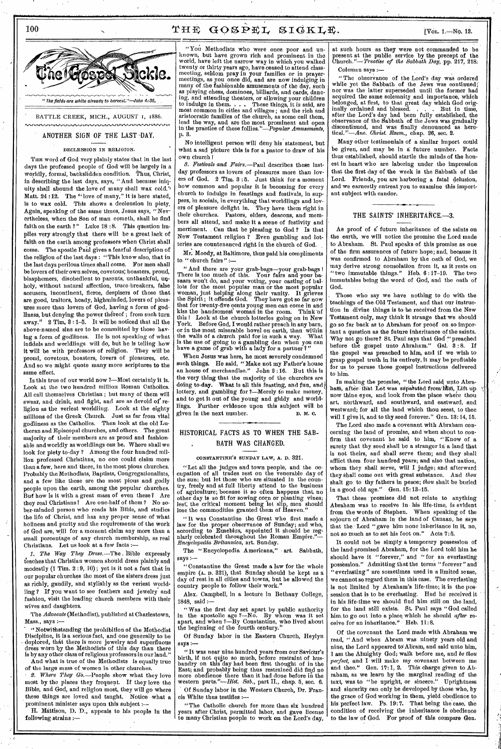# 100  $\text{THE}$   $\text{GOSPEL}$   $\text{SIGKLE}$ .  $\text{IVOL}$  1.—No. 13.

,, ,• " The fields are white already to harvest."—John 4:35, BATTLE CREEK, MICH., AUGUST 1, 1886.

# ANOTHER SIGN OF THE LAST -DAY.

# DECLENSION IN RELIGION.

THE word of God very plainly states that in the last days the professed people of God will be largely in a worldly, formal, backslidden condition. Thus, Christ, in describing the last days, says, " And because iniquity shall abound the love of many shall wax cold.' Matt. 24 : 12. The "love of many," it is here stated, is to wax cold. This shows a declension in piety. Again, speaking of the same times, Jesus says, "Nevertheless, when the Son of man cometh, shall he find faith on the earth ?" Luke 18:8. This question implies very strongly that there will be a great lack of faith on the earth among professors when Christ shall come. The apostle Paul gives a fearful description of the religion of the last days : "This know also, that in the last days perilous times shall come. For men shall be lovers of their own selves, covetous; boasters, proud, blasphemers, disobedient to parents, unthankful, unholy, without natural affection, truce-breakers, false accusers, incontinent, fierce, despisers of those that are good, traitors, heady, highminded, lovers of pleasures more than lovers of God, having a form of godliness, but denying the power théreof; from such turn away."  $2$  Tim,  $3:1-5$ . It will be noticed that all the above-named sins are to be committed by those having a form of godliness. Ile is not speaking of what infidels and worldlings will do, but he is telling how it will be with professors of religion. They will be proud, covetous, boasters, lovers of pleasures, etc. And so we might quote many more scriptures to the same effect.

Is this true of our world now ?—Most certainly it is. Look at the two hundred million Roman Catholics. All call themselves Christian ; but many of them will swear, and drink, and fight, and are as devoid of' religion as the veriest worldling. Look at the eighty millions of the Greek Church. Just as far from vital godliness as the Catholics. Then look at the old Lutheran and Episcopal churches, and others. The great majority of their members are as proud and fashionable andworldly as worldlings can be. Where shall we look for piety to-day ? Among the four hundred million professed Christians, no one could claim more than a few, here and there, in the most pious churches. Probably the Methodists, Baptists, Congregationalists, and a few like these are the most pious and godly people upon the earth, among the popular churches. But how is it with a great mass of even these? Are they real Christians? Are one-half of them ? No sober-minded person who reads his Bible, and studies the life of Christ, and has any proper sense of what holiness and purity and the requirements of the work of God are, will for a moment claim any more than a small percentage of any church membership, as real Christians. Let us look at a few facts *:-* 

1. The Way They Dress.—The Bible expressly teaches that Christian women should dress plainly and modestly (1 Tim. 2 :9, 10); yet is it not a fact that in our popular churches the most of the sisters dress just as richly, gaudily, and stylishly as the veriest worldling ? If you want to see feathers and jewelry and fashion, visit the leading church members with their wives and daughters.

The *Advocate* (Methodist), published at Charlestown, Mass., says :-

"Notwithstanding the prohibition of the Methodist Discipline, it is a serious fact, and one generally to be • deplored, that there is more jewelry and superfluous dress worn by the Methodists of this day than there is by any other class of religious professors in our land."

And what is true of the Methodists is equally true of the large mass of women in other churches.<br>2. Where They  $G_0$ . People show what the

*Where They Go.*—People show what they love most by the places they frequent. If they love the Bible, and God, and religion most, they will go where these things are loved and taught. Notice what a prominent minister says upon this subject

H. Mattison, D. D., appeals to his people in the following strains :—

"You Methodists who were once poor and unknown, but have grown rich and prominent in the world, have left the narrow way in which you walked twenty or thirty years ago, have ceased to attend classmeeting, seldom pray in your families or in prayermeetings, as you once did, and are now indulging in many of the fashionable amusements of the day, such as playing chess, dominoes, billiards, and cards, dancing, and attending theaters, or allowing your children to indulge in them. . . . These things, it is said, are most common in cities and villages ; and the rich and aristocratic families of the church, as some call them, lead the way, and are the most prominent and open in the practice of these *follies."—Popular Amusements,*  p. 3.

No intelligent person will deny his statement, but what a sad picture this is for a pastor to draw of his own church I

*8. Festivals and Fairs.—Paul* describes these lastday professors as lovers of pleasures more than lovers of God. 2 Tim. 3 : 5. Just think for a moment how common and popular it is becoming for every church to indulge in feastings and festivals, in suppers, in socials, in everything that worldlings and lovers of pleasure delight in. They have them right in their churches. Pastors, elders, deacons, and members all attend, and make it a scene of festivity and merriment. Can that be pleasing to God ? Is that New Testament religion ? Even gambling and lotteries are countenanced right in the church of God.

 $Mr.$  Moody, at Baltimore, thus paid his compliments to "church fairs" :to " church fairs " :—

" And there are your grab-bags—your grab-bags ! There is, too much of this. Your fairs and your bazaars won't do, and your voting, your casting of ballots for the most popular man or the most popular woman, just helping along their vanity. It grieves the Spirit; it offends God. They have got so far now that for twenty-five cents young men can come in and kiss the handsomest woman in the room. Think 'of this I Look at the church lotteries going on in New York. Before God, I would rather preach in any barn, or in the most miserable hovel on earth, than within the walls of a church paid for in such a way. What is the use of going to a gambling den when you can have a game of grab with a lady for a partner?"

When Jesus was here, he most severely condemned such things. Ho said, "Make not my Father's house an house of merchandise." John 2 :16. But this is the very thing that the majority of the churches are doing to-day. What is all this feasting, and fun, and lottery, and gambling for ?—Merely to make money, and to get it out of the young and giddy and world-<br>lings. Further evidence unon this subject will be Further evidence upon this subject will be given in the next number. D. M. C.

# HISTORICAL FACTS AS TO WHEN THE SAB-BATH WAS CHANGED.

#### CONSTANTINE'S SUNDAY LAW, A. D. 321.

"Let all the judges and town people, and the occupation of all trades rest on the venerable day of the sun; but let those who are situated in the country, freely and at full liberty attend to the business of agriculture; because it so often happens that, no other day is so fit for sowing corn or planting vines; lest; the critical moment being let slip, men should lose the commodities granted them of Heaven."

"It was Constantine the Great who first made a law for the proper observance of Sunday; and who, according to Eusebius, appointed it should be regularly celebrated throughout the Roman Empire."— *Encyclopedia Britannica,* art. Sunday.

The "Encyclopedia Americana," • art. Sabbath, says :—

" Constantine the Great made a law for the whole empire (A. D. 321), that Sunday should be kept as a day of rest in all cities and towns, but he allowed the country people to follow their work."

Alex. Campbell, in a lecture in Bethany College, 1848, said :—

" Was the first day set apart by public authority in the apostolic age ?—No. By whom was it set apart, and when ?—By Constantine, who lived about the beginning of the fourth century."

Of Sunday labor in the Eastern Church, Heylyn says :—

" It was near nine hundred years from our Savidur's birth, if not quite so much, before restraint of husbandry on this day had been first thought of in the East; and probably being thus restrained did find no more obedience there than it had done before in the western parts."—Hist. *Sab.,* part II., chap. 5, sec. 6.

Of Sunday labor in the Western Church, Dr. Francis White thus testifies :—

"The Catholic church for more than six hundred years after Christ, permitted labor, and gave license to many Christian people to work on the Lord's day,

at such hours as they were not commanded to be present at the public service by the precept of the Church."—*Treatise of the Sabbath Day,* pp. 217, 218. Coleman says :—

" The observance of the Lord's day was ordered while yet the Sabbath of the Jews was continued; nor was the latter superseded until the former had acquired the same solemnity and importance, which belonged, at first, to that great day which God orig-inally ordained and blessed. . . . But in time, after the Lord's day had been fully established, the observance of the Sabbath of the Jews was gradually discontinued, and was finally denounced as heretical. *"—Ana Exem.,* chap. 26, sec. 2.

Many other testimonials of a similar import could be given, and may be in a future number. Facts thus established, should startle the minds of the honest in heart who are laboring under the impression that the first day of the week is the Sabbath of the Lord. Friends, you are harboring a fatal delusion, and we earnestly entreat you to examine this important subject with candor.

# THE SAINTS' INHERITANCE.-3.

As proof of a future inheritance of the saints on the earth, we will notice the promise the Lord made to Abraham. St. Paul speaks of this promise as one of the firm assurances of future hope; and, because it was confirmed to Abraham by the oath of God, we may derive strong consolation from it, as it rests on "two immutable things." Heb. 6 :17-19. The two immutables being the word of God, and the oath of God.

Those who say we have nothing to do with the teachings of the Old Testament, and that our instruction in divine things is to be received from the New Testament only, may think it strange that we should go so far back as to Abraham for proof on so important a question as the future inheritance of the saints. Why not go there? St. Paul says that God "preached before the gospel unto Abraham." Gal. 3:8. If the gospel was preached to him, and if we wish to grasp gospel truth in its entirety, it may be profitable for us to peruse those gospel instructions delivered to him.

In making the promise, "the Lord said unto Abraham, after-that Lot was separated from him, Lift up now thine eyes, and look from the place where thou art, northward, and southward, and eastward, and westward; for all the land which thou seest, to thee will I give it, and to thy seed forever." Gen. 13:14, 15.

The Lord also made a covenant with Abraham concerning the land of promise, and when about to confirm that covenant he said to him, "Know of a surety that thy seed shall be a stranger in a land that is not theirs, and shall serve them; and they shall afflict them four hundred years; and also that nation. whom they shall serve, will I judge; and afterward they shall come out with great substance. And thou shalt go to thy fathers in peace; *thou* shalt be buried in a good old age." Gen. 15:18-15.

That these promises did not relate to anything Abraham was to receive in • his life-time, is evident from the words of Stephen. When speaking of the sojourn of Abraham in the land of Canaan, he says that the • Lord "gave him none inheritance in it, no, not so much as to set his foot on." Acts 7:5.

It could not be simply a temporary possession of the land•promised Abraham, for the Lord told him he should have it "forever," and "for an everlasting possession." Admitting that the terms "forever" and "everlasting" are sometimes used in a limited sense, we cannot so regard them in this case. The everlasting is not limited by Abraham's life-time; it is the possession that is to be everlasting. Had he received it in his life-time we should find him still on the land, for the land still exists. St. Paul says "God called him. to go out into a place. which he should *after* receive for an inheritance." Heb. 11:8.

Of the covenant the Lord made with Abraham we read, " And when Abram was ninety years old and nine, the Lord appeared to Abram, and said unto him, I am the Almighty God; walk before me, and *be thou perfect,* and I will make my covenant between me and thee." Gen. 17:1, 2. This charge given to Abraham, as we learn by the marginal reading of the text, was to "be upright, or sincere." Uprightness and sincerity can only be developed by those who, by the grace of God working in them, yield obedience to his perfect law. Ps. 19:7. That being the case, the condition of receiving the inheritance is obedience to the law of God. For proof of this compare Gen.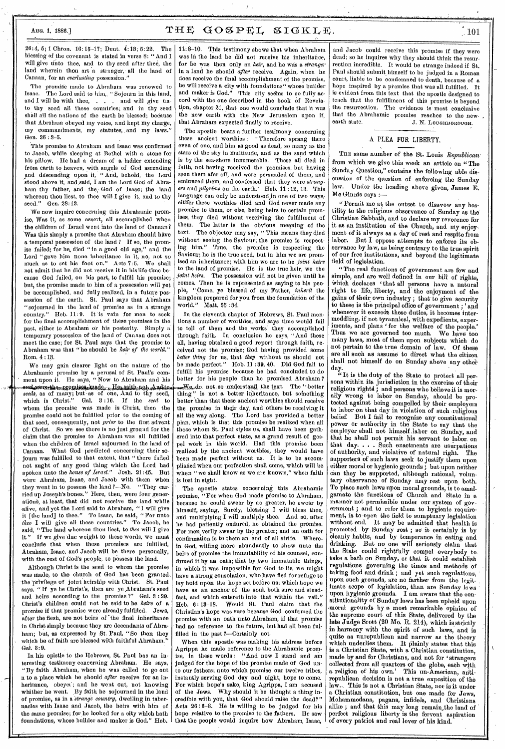26:4, 5; 1 Chron. 16:15-17; Dent. 4:13; 5:22. The blessing of the covenant is stated in verse 8: "And I will give unto thee, and to thy seed after thee, the land wherein thou art a stranger, all the land of Canaan, for an *everlasting* possession."

The promise made to Abraham was renewed to Isaac. The Lord said to him. "Soiourn in this land. The Lord said to him,, "Sojourn in this land, and I will be with thee, . . . and will give unto thy seed all these countries; and in thy seed shall all the nations of the earth be blessed; because that Abraham obeyed my voice, and kept my charge, my commandments, my statutes, and my laws. Gen. 26 : 3-5.

This promise to Abraham and Isaac was confirmed to Jacob, while sleeping at Bethel with a stone for his pillow. He had a dream of a ladder extending from earth to heaven, with angels of God ascending and descending upon it, "And, behold, the Lord stood above it, and.said, I am the Lord God of\_Abraham thy father, and the, God of Isaac; the land whereon thou liest, to thee will I give it, and to thy seed." Gen. 28:13. Gen. 28:13.

We now inquire concerning this Abrahamic promise, Was it, as some assert, all accomplished when the children of Israel went into the land of Canaan? Was this simply a promise that Abraham should have a temporal possession of the land ? If so, the promise failed; for he, died " in a good old age," and the Lord "gave him none inheritance in it, no, not so much as to set his foot on." Acts 7:5. We shall not admit that he did not receive it in his life-time because God failed, on his part, to fulfill his promise; but, the promise made to him of a possession will yet be accomplished, and fully realized, in a future possession of the earth. St. Paul says that Abraham "sojourned in the land of promise as in a strange country." Hob. 11:9. It is vain for men to seek for the final accomplishment of these promises in the past, either to Abraham or his posterity. Simply a temporary possession of the land of Canaan does not meet the case; for St. Paul says that the promise to Abraham was that "he should be *heir of the world."*  Rom. 4 :1p.

We may gain clearer light on the nature of the Abrahamic promise by a perusal of St. Paul's comment upon it. He says, "Now to Abraham and his<br>sead were the appromises inade. He saith not And to *seed\*,* as of many; but -as of one, And to thy seed, which is Christ." Gal. 3 :16. If the *seed* to whom the promise was made is Christ, then the promise could not be fulfilled prior to the coming of that seed, consequently, not *prior* to the first advent of Christ. So we see there is no just ground for the claim that the promise to Abraham was all fulfilled when the children of Israel sojourned in the land of Canaan. What God predicted concerning their sojourn was fulfilled to that extent, that " there failed not aught of any good thing which the Lord had spoken unto the *house of Israel."* Josh. 21:45. But were Abraham, Isaac, and Jacob with them when they went in to possess the land ?—No. "They carried up Joseph's bones." Here, then, were four generations, at least, that did not receive the land while alive, and yet the Lord said to Abraham, "I will give it [the land] to thee." To Isaac, lie said, " For unto *thee* I will give all these countries." To Jacob, he said, "The land whereon thou liest, to *thee* will I give If we give due weight to these words, we must conclude that when these promises are fulfilled, Abraham, Isaac, and Jacob will be there personally, with the rest of God's people, to possess the land.

Although Christ is the seed to whom the promise was made, to the church of God has been granted the privilege of joint heirship with Christ. St. Paul says, " If yo be Christ's, then are ye Abraham's seed and heirs according to the promise ?" Gal. 8 : 29. Christ's children could not be said to be *heirs* of a promise if that promiso were already fulfilled. Jews, after the flesh, are not heirs of the final inheritance in Christ simply because they are decendants of'Abraham; but, as expressed by St. Paul, "So then they which be of faith are blessed with faithful  $\Lambda$ braham. Gal. 8:9.

In his epistle to the Hebrews, St. Paul has an interesting testimony concerning Abraham. He says, "By faith Abraham, when he was called to go out n to a place which lie should *after* receive for an inheritance, obeyet; and he went out, not knowing whither he went. By faith he sojourned in the land of promise, as in a *Strange country,* dwelling in tabernacles with Isaac and Jacob, the heirs with him of the same promise; for he looked for a city which hath foundations, whose builder and maker is God." Heb. 1148-10. This testimony shows that when Abraham was in the land he did not receive his inheritance, for he was then only an *heir*, and he was a *stranger* in a land he should *after* receive. Again, when he does receive the final accomplishment of the promise, he will receive a city with foundations" whose builder and maker is God." This city seems to so fully accord with the one described in the book of Revelation, chapter 21, that one would conclude that it was the new earth with the New Jerusalem upon if, that Abraham expected finally to receive.

The apostle bears a further testimony concerning these ancient worthies : "Therefore sprang there even of one, and him as good as dead, so many as the stars of the sky in multitude, and as the sand which is by the sea-shore innumerable. These all died in faith, not having received the promises, but having seen them afar off, and were persuaded of them, and embraced them, and confessed that they were *strangers* and *pilgrims* on the earth." Heb. 11 :12, 13. This language can only be understood in one of two ways; either these worthies died and God never made any promise to them, or else, being heirs to certain promises, they died without receiving the fulfillment of them. The latter is the obvious meaning of the text. The objector may say, "This means they died without seeing the Saviour; the promise is respecting him." True, the promise is respecting the Saviour; he is the true seed, but in him we are prom ised an inheritance; with him we are to be *joint heirs*  to the land of promise. He is the true heir, we the *joint heirs.* The possession will not be given until he comes. Then he is represented as saying to his people, "Come, ye blessed of my Father, *inherit* the kingdom prepared for you from the foundation of the world." Matt. 25:34.

In the eleventh chapter of Hebrews, St. Paul mentions a number of worthies, and says time would fail to tell of them and the ,works they accomplished through faith. In conclusion he says, "And these all, having obtained a good report through faith, received not the promise; God having provided some *better thing* for us, that *they* without us should not be made perfect." Heb. 11:39, 40. Did God fail to fulfill his promise because he had concluded to do better for his people than he promised Abraham ?  $\frac{1}{2}$  ( $\frac{1}{2}$  )  $\frac{1}{2}$  ( $\frac{1}{2}$  )  $\frac{1}{2}$  of a better inheritance, but something ' is not a better inheritance, but something better than that these ancient worthies should receive the promise in their day, and others be receiving it all the way along. The Lord has provided a better plan, which is that this promise be realized when all those whom St. Paul styles us, shall have been gathered into that perfect state, as a grand result of gospel work in this world. Had this promise been realized by the ancient worthies, they would have been made perfect without us. It is to be accomplished when our perfection shall come, which will be when "we shall know as we are known," when faith is lost in sight.

The apostle states concerning, this Abrahamic promise, "For when God made promise to Abraham, because he could swear by no greater, he swear by himself, saying, Surely, blessing I will bless thee, and multiplying I will multiply thee. And so, after he had patiently endured, he obtained the promise. For men verily swear by the greater; and an oath for confirmation is to them an end of all strife. Wherein God, willing more abundantly to show unto the heirs of promise the immutability of his counsel, confirmed it by an oath; that by two immutable things, in which it was impossible for God to lie, we might have a strong consolation, who have fled for refuge to lay hold upon the hope set before us; which hope we have as an anchor of the soul, both sure and steadfast, and which entereth into that within the vail." Heb. 6 : 13-18. Would St. Paul claim that the Christian's hope was sure because God confirmed the promise with an oath unto Abraham, if that promise had no reference to the future, but had all been fulfilled in the past 2—Certainly not.

When this apostle was making his address before Agrippa he made reference to the Abrahamic promise, in these words : "And now I stand and am judged for the hope of the promise made of God unto our fathers; unto which promise our twelve tribes, instantly serving God day and night, hope to come. For which hope's sake, king Agrippa, I am accused Why should it be thought a thing incredible with you, that God should raise the dead?" Acts 26 ; 6-8. He is willing to be judged for his hope relative to the promise to the fathers. He saw that the people would inquire how Abraham, Isaac,

and Jacob could receive this promise if they were dead; so he inquires why they should think the resurrection incredible. It would be strange indeed if St. Paul should submit himself to be judged in a Roman court, liable to be condemned to death, because of a hope inspired by a promise that was all fulfilled. It is evident from this text that the apostle designed to teach that the fulfillment of this promise is beyond the resurrection. The evidence is most conclusive that the Abrahamic promise reaches to the new-<br>earth state.  $\begin{array}{cc} . & \text{if} & \text{I} \cup \text{trapeo} \cup \text{OUT} \end{array}$ J. N. LOUGHBOROUGH.

### A PLEA FOR LIBERTY.

**THE** same number of the St. Louis *Republican'*  from which we give this week an article on "The Sunday Question," contains the following able discussion of the question of enforcing the Sunday Under the heading above given, James E. Mc Ginnis says :—

"Permit me at the outset to disavow any hostility to the religious observance of Sunday as the Christian Sabbath, and to declare my reverence for it as an institution of the Church, and my enjoyment of it always as a day of rest and respite from labor. But I oppose attempts to enforce its observance by law, as being contrary to the true spirit of our free institutions, and beyond the legitimate field of legislation.

"The real functions of government are few and simple, and are well defined in our bill of rights, which declares 'that all persons have a natural right to life, liberty, and the enjoyment of the gains of their own industry; that- to give security to these is the principal office of government ; ' and whenever it exceeds these duties, it becomes intermeddling, if not tyrannical, with expedients, experiments, and plans ' for the welfare of the people.' Thus we are governed too much. We have too many laws, most of them upon subjects which do .not pertain to the true domain of law. Of these are all such as assume to direct what the citizen shall not himself do on Sunday above any other day.

"It is the duty of the State to protect all persons within its jurisdiction in the exercise of their religious rights ; and persons who believe it is morally wrong to labor on Sunday, should be protected against being compelled by their employers to labor on that day in violation of such religious belief. But I fail to recognize any constitutional power or authority in the State to say that the employer shall not himself labor on Sunday, and that he shall not permit his servant to labor on that day. . . . Such enactments are usurpations of authority, and violative of natural right. The supporters of such laws seek to justify them, upon either moral or hygienic grounds ; but upon neither can they be supported, although rational, voluntary observance of Sunday may rest upon both. To place such laws upon moral grounds, is to amalgamate the functions of Church and State in a manner not permissible under our system of government ; and to refer them to hygienic requirement, is to open the field to sumptuary legislation 'without end. It may be admitted that health is promoted by Sunday rest ; so' it certainly is by cleanly habits, and by temperance in eating and drinking. But no one will seriously claim that the State could rightfully compel everybody to take a bath on Sunday, or that it could establish regulations governing the times and methods of taking food and drink ; and yet such regulations, upon such grounds, are no farther from the legitimate scope of legislation, than are Sunday laws upon hygienic grounds. I am aware that the constitutionality of Sunday laws has been upheld upon -moral grounds by a most remarkable opinion of the supreme court of this State, delivered by the *late* Judge Scott (20 Mo. R. 214), which is strictly in harmony with the spirit of such laws, and is quite as unrepublican and narrow as the theory which underlies them. It plainly states that this is a Christian State, with a Christian constitution, made by and for Christians, and not for 'strangers collected from all quarters of the globe, each with a religion of his own.' This un-American, antirepublican decision is not a true exposition of the law.. This is not a Christian State, nor is it under a Christian constitution, but one made for Jews, Mohammedans, pagans, infidels, and Christians alike ; and that this may long remain the land of perfect religious liberty is the fervent aspiration of every patriot and real lover of his kind.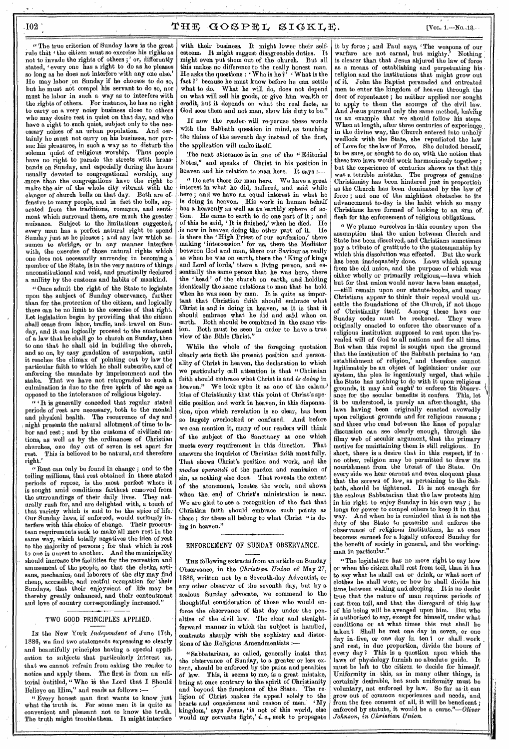# $102$  THE GOSPEL SIGKLE. The IVol. 1.—No..18.

" The true criterion of Sunday laws is the great rule that 'the citizen must so exercise his rights as not to invade the rights of others ; ' or, differently stated, 'every one has a right to do as he pleases so long as he does not interfere with any one else. He may labor on Sunday if he chooses to do so, but he must not compel his servant to do so, nor must he labor in such a way as to interfere with the rights of others. For instance, he has no right to carry on a very noisy business close to others who may desire rest in quiet on that day, and who have a right to such quiet, subject only to the necessary noises of an urban population. And certainly he must not carry on his business, nor pursue his pleasures, in such a way as to disturb the solemn quiet of religious worship. Thus people have no right to parade the streets with brassbands on Sunday, and especially during the hours usually devoted to congregational worship, any .more than the congregations have the right to make the air of the whole city vibrant with the clanger of church bells on that day. Both are ofclangor of church bells on that day. Both are offensive to many people, and in fact the bells, separated from the traditions, romance, and sentiment which surround them, are much the greater nuisance. Subject to the limitations suggested, every man has a perfect natural right to spend Sunday just as he pleases ; and any law which assumes to abridge, or in any manner interfere with, the exercise of those natural rights which one does not necessarily surrender in becoming a member of the State, is in the very nature of things unconstitutional and void, and practically declared a nullity by the customs and habits of mankind.

"Once admit the right of the State to legislate upon the subject of Sunday observance, further than for the.protection of the citizen, and logically there can be no limit to the exercise of that right. Lot legislation begin by providing that the citizen shall cease from labor, traffic, and, travel on Sunday, and it can logically proceed to the enactment of a law that he shall go to church on Sunday, then to one that he shall aid in building the church, and so on, by easy gradation of usurpation, until it reaches the climax of pointing out by law the particular faith to which he shall subscribe, and of enforcing the mandate by imprisonment and the stake. That we have not retrograded to such a culmination is due to the free spirit of the age as opposed to the intolerance of religious bigotry.

" It is generally conceded that regular stated periods of rest. are necessary, both to the mental and physical health. The recurrence of day and night presents the natural allotment,of time to labor and rest ; and by the customs of civilized nations, as well as by the ordinances of Christian churches, one day out of seven is set apart for rest. This is believed to be natural, and therefore right.'

"Rest can only be found in change ; and to the toiling millions, that rest obtained in these stated periods of repose, is the, most perfect where it is sought amid conditions farthest removed from the surroundings of their daily lives. They naturally rush for, and are delighted with, a touch of that variety which is said to be the spice of life. Our Sunday laws, if enforced, would seriously interfere with this choice of change. Their procrustean requirements seek to make all men rest in the same way, which totally negatives the idea of rest to the majority of persons ; for that which is rest to one is unrest to another. And the municipality should increase the facilities for the recreation and amusement of the people, so that the clerks, artisans, mechanics, and la borers of the city may find cheap, accessible, and restful occupation for' their Sundays, that their enjoynient of life may be thereby greatly enhanced, and their contentment and love of country correspondingly increased."

### TWO GOOD PRINCIPLES APPLIED.

IN the New York *Independent* of June 17th, 1886, we find two statements expressing so clearly and beautifully principles having a special application to subjects that particularly interest us, that we cannot refrain from asking the reader to notice and apply them. The first is from an editorial entitled, "Who is the Lord that I Should Believe on Him," and reads as follows :

" Every honest man first wants to know just what the truth is. For some men it is quite as convenient and pleasant not to know the truth. The truth might trouble them. It might interfere

with their business. It might lower their selfesteem. It might suggest disagreeable duties. might even put them out of the church. But all this makes no difference to the really honest man. He asks the questions :  $\lq$  Who is he  $\lq$ <sup>5</sup>  $\lq$  What is the fact ?' because he must know before he can settle what to do. What he will do, does not depend on what will sell his goods, or give him wealth or credit, but it depends on what the real facts, as God sees them and not man, show his duty to be."

If now the reader will re-peruse these words with the Sabbath question in mind, as touching the claims of the seventh day instead of the first, the application will make itself.

The next utterance is in one of the "Editorial Notes," and speaks of Christ in his position in heaven and his relation to man here. It says :-

" He acts there for man here. We have a great interest in what he did, suffered, and said while . here ; and we have an equal interest in what he is doing in heaven. His work in human behalf has a heavenly as well as an 'earthly sphere of action. He came to earth to do one part of it ; and of this he said, 'It is finished,' when he died. He is now in heaven doing the other part of it. is there the 'High Priest of our confession,' there making 'intercession' for us, there the Mediator between God and man, there our Saviour as really as when he was on earth, there the 'King of kings and Lord of lords,' there a living person, and es-<br>sentially the same person that he was here, there sentially the same person that he the 'head' of the church on earth, and holding identically the.same relations to men that he held when he was seen by men. It is quite as important that Christian faith should embrade what Christ is-and is doing in heaven, as it is that it should embrace what he did and said when on earth. Both should be combined in the same vision. Both must be seen in order to have a true view of the Bible Christ."

While the whole of the foregoing quotation clearly sets forth the present position and personality of Christ in heaven, the declaration to which we particularly call attention is that " Christian faith should embrace what Christ is and *is doing* in heaven." We look upon it as one of the calamities of Christianity that this point of Christ's specific position and work in heaven, in this dispensation, upon which revelation is so clear, has been so largely overlooked or confused. And before we can mention it, many of our readers will think of the subject of the Sanctuary as one which<br>meets every requirement in this direction. That meets every requirement in this direction. answers the inquiries of Christian faith most fully. That shows Christ's position and work, and the *modus operandi* of the pardon and remission of sin, as nothing else does. That reveals the extent of the atonement, locates the work, and shows when the end of Christ's ministration is near. We are glad to see a recognition of the fact that Christian faith should embrace such points as these; for these all belong to what Christ "is doing in heaven."

### ENFORCEMENT OF SUNDAY OBSERVANCE.

THE following extracts from an article on Sunday Observance, in the *Christian Union* of May 27, 1886, written not by a Seventh-day Adventist, or any other observer of the seventh day, but by a zealous Sunday advocate, we commend to the thoughtful consideration of those who would enforce the observance of that day under the penalties of the civil law. The clear and straightforward manner in which the subject is handled, contrasts sharply with the sophistry and distortions of the Religious Amendmentists

" Sabbatarians, so called, generally insist that the observance of Sunday, to a greater or less extent, should be enforced by the pains and penalties of law. This, it seems to me, is a great mistake, being at once contrary to the spirit of Christianity<br>and beyond the functions of the State. The reand beyond the functions of the State. ligion of Christ makes its appeal solely to the hearts and consciences and reason of men. 'My kingdom,' says Jesus, is not of this world, else would my servants fight,' i, *e.,* seek to propagate

it by force ; and Paul says, 'The weapons of our warfare are not carnal, but mighty.' Nothing warfare are not carnal, but mighty. is clearer than that Jesus abjured the law of force as a means of establishing and perpetuating his • religion and the institutions that might grow out of it. John the Baptist persuaded and entreated men to enter the kingdom of heaven through the door of repentance ; he neither applied nor sought to apply to them the scourge of the civil law. And Jesus pursued only the same method, leaving us an example that we should follow his steps. When at length, after three centuries of experience in the divine way, the Church entered into unholy wedlock with the State, she repudiated the law of Love for the law of Force. She deluded herself, to be sure, or sought to do so, with the notion that these two laws would work harmoniously together ; but the experience of centuries shows us that this was a terrible mistake. The progress of genuine Christianity has been hindered just in proportion as the Church has been dominated by the law of force ; and one of the mightiest obstacles to its advancement to-day is the habit which so many Christians have formed of looking to an arm of. flesh for the enforcement of religious obligations.

" We plume ourselves in this country upon the assumption that the union between Church and State has been dissolved, and Christians sometimes pay a tribute of gratitude to the statesmanship by which this dissolution was effected. But the work has been inadequately done. Laws which sprang from the old union, and the purpose of which was either wholly or primarily religious,—laws which but for that union would never have been enacted, -still remain upon our statute-books, and many Christians appear to think their repeal would unsettle the foundations of the Church, if not those of Christianity itself. Among these laws our Sunday codes must be reckoned. They were originally enacted to enforce the observance of a religious institution supposed to rest upon the 'revealed will of God to all nations and for all time. But when this repeal is sought upon the ground that the institution of the Sabbath pertains to 'an establishment of religion,' and therefore cannot legitimately be an object of legislation- under our system, the plea is- ingeniously urged, that while the State has nothing to do with it upon- religious grounds, it may and ought to enforce its observance for the secular benefits it confers. This, let it be understood, is purely an after-thought, the laws having been originally enacted avowedly upon religious grounds and for religious reasons; and those who read between the lines of popular discussion can see clearly enough, through the filmy web of secular argument, that the primary motive for maintaining them is still religious.. In short, there is a desire that in this respect, if in no other, religion may be permitted to draw its nourishment from the breast of the State. On every side we hear earnest and even eloquent pleas that the screws of law, as pertaining to the Sabbath, should be tightened. It is not enough for the zealous Sabbatarian that the law protects him in his right to enjoy Sunday in his own way ; he longs for power to compel others to keep it in that way. And when he is reminded that it is not the way. And when he is reminded that it is not the duty of the State to prescribe and enforce the observance of religious institutions, he at once becomes earnest for a legally enforced Sunday for the benefit of society in general, and the workingman in particular."

"The legislature has no more right to say how or when the citizen shall rest from toil, than it has to say what he shall eat or drink, or what sort of clothes he shall wear, or how he shall divide his time between waking and sleeping. It is no doubt true that the nature of man requires periods of rest from toil, and that the disregard of this law of his being will be avenged upon him. But who is authorized to say, except for himself, under what conditions or at what times this rest shall be taken ? Shall he rest one day in seven, or one day in- five, or one day in ten 1 or shall work and rest, in due proportion, divide the hours of every day? This is a question upon which the laws of physiology furnish no absolute guide. It must be left to the citizen to decide for himself. Uniformity in this, as in many other things, is certainly desirable, but such uniformity must be voluntary, not enforced by law. So far as-it can grow out of common experiences and needs, and, from the free consent of all, it will be beneficent ; enforced by statute, it would be a curse."-Oliver *Johnson, in Christian Union.*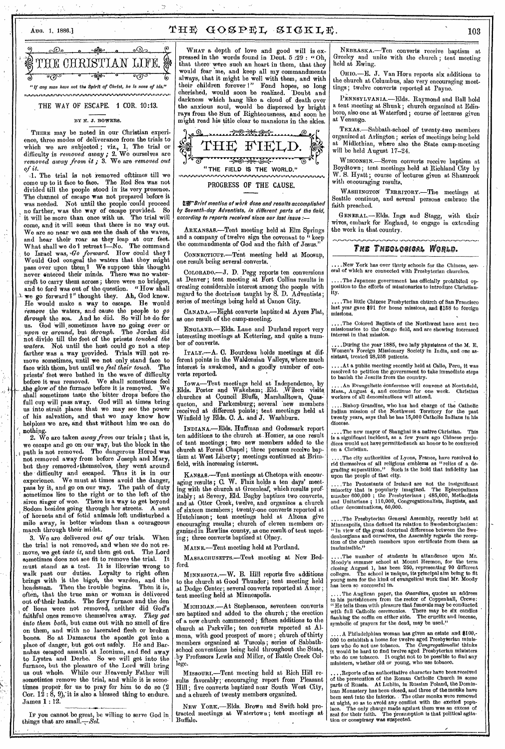# $A$ UG. 1, 1886.]  $\text{THE}$   $\text{GOSPEL}$   $\text{SIGKLE}$ . 103

|                                                                | <u>. തിയ </u>           |  |   |
|----------------------------------------------------------------|-------------------------|--|---|
| STHE CHRISTIAN LIFE.                                           |                         |  | ∦ |
|                                                                | $\cdot$ $\circ$ $\circ$ |  |   |
| "If any man have not the Spirit of Christ, he is none of his." |                         |  |   |
|                                                                |                         |  |   |

THE WAY OF ESCAPE. 1 COR. 10:13.

#### BY N. J. BOWERS.

THERE may be noted in our Christian experience, three modes of deliverance from the trials to which we are subjected ; viz., 1, The trial or difficulty is *removed away ;* 2. We ourselves are *removed away from it ;* 3. We are *removed out of it.* 

J. The trial is not removed ofttimes till we come up to it face to face. The Red Sea was not divided till the people stood in its very presence. The channel of escape was not prepared before it was needed. Not until the people could proceed no farther, was the way of escape provided. So it will be more than once with us, The trial will come, and it will seem that there is no way out. We are so near we can see the dash of the waves, and hear their roar as they leap at our feet. What shall we do ? retreat ?- No. The command to Israel was, *'Go forward.* How could they I Would God congeal the waters that they might pass over upon them? We suppose this thought never entered their minds. There was no watercraft to carry theni across; there were no bridges, and to ford was out of the question. " How shall we go forward ?" thought they. Ah, God knew. He would make a way to escape. He would *remove* the waters, and cause the people to *go through* the sea. And he did. So will he do for us. God will, sometimes have no going over or *upon* or *around,* but *through.* The Jordan did not divide till the feet of the priests *touched the waters.* Not until the host could go not a step farther was a way provided. Trials will not remove sometimes, until we not only stand face to face with them, but until we *feel their touch*. The face with them, but until we *feel their touch*. priests' feet were bathed in the wave of difficulty before it was removed. We shall sometimes feel \_the glow of the furnace before it is removed. We shall sometimes taste the bitter drops before the full cup will pass away. God will at times bring us into strait places that we may see the power of his salvation, and that we may know how helpless we are, and that without him we can do nothing.

2. We are taken *away from* our trials ; that is, we escape and go on our way, but the block in the path is not removed. The dangerous Herod was not removed away from before Joseph and Mary, but they removed' themselves, they went around the difficulty and escaped. Thus it is in our experience. We must at times avoid the danger, pass by it, and go on our way. The path of duty sometimes lies to the right or to the left of the siren singer of woe. There is a way to get beyond Sodom besides going through her streets. A nest of hornets and of fetid animals left undisturbed a mile away, is better wisdom than a courageous march through their midst.

3. We are delivered *out of* our trials. When the trial is not removed, and when *we* do not remove, we get *into it,* and then get out. The Lord sometimes does not see fit to remove the trial. It must stand as *a* test. It is likewise wrong to walk past our duties. Loyalty to right often brings with it the bigot, the warden, and the headsman. Then the trouble begins. Then it is, often, that the true man or woman is delivered out of their hands. The fiery furnace and the den of lions were not removed, neither did God's faithful ones remove themselves away. *They got into them both,* but came out with no smell of fire on them, and with no lacerated flesh or broken bones. So at Damascus the apostle got into a place of danger, but got out safely. He and Barnabas escaped assault at Iconium, and fled away to Lystra and Derbe. So we will get into the furnace, but the pleasure of the Lord will bring us out whole. While our Heavenly Father will sometintes remove the trial, and while it is sometimes proper. for us to pray for him to do so (2 Cor.  $1\hat{2}$ :  $\hat{8}$ ,  $9$ ), it is also a blessed thing to endure. James 1 : 12.

IF you cannot be great, be willing to serve God in things that are small.— $Sel$ .

WHAT a depth of love and good will is expressed in the words found in Deut. 5 :29 : "Oh, that there were such an heart in them, that they would fear me, and keep all my commandments always, that it might be well with them, and with their children forever I" Fond hopes, so long cherished, would soon be realized. 'Doubt and darkness which hang like a cloud of death over the anxious soul, would be dispersed by bright rays from the Sun of Righteousness, and soon he might read his title clear to mansions in the skies.



**IN**-Brief mention of work done and results accomplished by Seventh-day Adventists, in different parts of the field, according to reports received since our last issue :—

ARKANSAS.—Tent meeting held at Elm Springs and a company of twelve sign the covenant to " keep the commandments of God and the faith of Jesus."

CONNECTICUT.-Tent meeting held at Moosup, one result being several converts.

COLORADO.-J. D. Pegg reports ten conversions at Denver; tent meeting at Fort Collins results in creating considerable interest among the people with regard to the doctrines taught by S. D. Adventists; series of meetings being held at Canon City.

CANADA.—Eight converts baptized at Ayers Flat, as one result of the camp-meeting.

ENGLAND.—Elds. Lane and Durland report very interesting meetings at Kettering, and quite a number of converts.

ITALY.—A. C. Bourdeau holds meetings at different points in the Waldensian Valleys, where much interest is awakened, and a goodly number of converts reported.

IowA—Tent meetings held at Independence, by Elds. Porter and Wakeham; Eld. ,Wilson churches at Council Bluffs, Marshalltown, Quas-' queton, and Parkersburg; several 'new members, received at different points; tent meetings held at Winfield by Elds. 0. A. and J. Washburn.

INDIANA.—Elds. Huffman and Godsmark report ten additions to the church at Homer, as one result of tent meetings ; two new members added to the church at Forest Chapel ; three persons receive baptism at West Liberty; meetings continued at Brimfield, with increasing interest.

KANSAS.—Tent meetings at Chetopa with encouraging results ; C. W. Flaiz holds a ten days' meeting with the church at Greenleaf, which results profitably ; at Severy, Eld. Bagby baptizes two converts, and at Otter Creek, twelve, and organizes a church of sixteen members ; twenty-one converts reported at Hutchinson ; tent meetings held at Altona give encouraging results ; church of eleven members organized in Rawlins county, as one result of tent meeting; three converts baptized at Olney.

MAINE.—Tent meeting held at Portland.

MASSACHUSETTS.—Tent meeting at New Bedford.

MINNESOTA.—W. B. Hill reports five additions to the church at Good Thunder; tent meeting held at Dodge Center; several converts reported at Amor ; tent meeting held at Minneapolis.

MICHIGAN.—At Stephenson, seventeen converts are baptized and added to the church ; the erection of a new church commenced ; fifteen additions to the church at Parkville ; ten converts reported at Almena, with good prospect of more ; church of thirty members organized at Tuscola; series of Sabbathschool conventions being held throughout the State, :by Professors Lewis and Miller, of Battle Creek College.

MISSOURI,--Tent meeting held at Rich Hill results favorably;' encouraging report from Pleasant Hill ; five converts baptized near South West City, and a church of twenty members organized.

NEW YORK.—Elds, Brown and Swift hold protracted meetings at Watertown ; tent meetings at Buffalo.

NEBRASKA.—Ten converts receive baptism at Greeley and unite with the church ; tent meeting held at Ewing.

OHIO.-E. J. Van Horn reports six additions to the church at Columbus, also very encouraging meettings ; twelve converts reported at Payne.

PENNSYLVANIA.—Elds. Raymond and Ball hold a tent meeting at Shunk ; church organized at Edinboro, also one at Waterford ; course of lectures given at Venango.

TEXAS,—Sabbath-school of twenty-two members organized at Arlington ; series of meetings being held at Midlothian, where also the State camp-meeting will be held August 17-24.

WISCONSIN.—Seven converts receive baptism at Boydtown ; tent meetings held at Richland City by W. S. Hyatt ; course of lectures given at Shamrock with encouraging results,

WASHINGTON TERRITORY.—The meetings at Seattle continue, and several persons embrace the faith preached.

GENERAL.—Elds. Ings and Stagg, with their wives, embark for England, to engage in extending the work in that country.

# *THE THEOLOGICAL WORLD.*

....New York has over thirty schools for the Chinese, sev-<br>eral of which are connected with Presbyterian churches.

....The Japanese government has officially prohibited opposition to the efforts of missionaries to introduce Christian-ity.

..The little Chinese Presbyterian church of San Francisco last year gave \$91 for home missions, and \$158 to foreign missions,

....The Colored Baptists of the Northwest have sent two missionaries to the Congo field, and are showing increased interest in that mission.

..During the year 1885, two lady physioians of the M. E. Women's Foreign Missionary Society in India, and one assistant, treated 28,253 patients.

. At a public meeting recently held at Callo, Peru, it was resolved to petition the government to 'take immediate steps to banish the Jesuits from the country.

. An Evangelistic conference will convene at Northfield, Mass., August 4, and continue for one week. Christian workers of all denominations will attend.

....Bishop Grandine, who has had charge of the Catholic Indian mission of the Northwest Territory for the past twenty years, says that he has 15,000 Catholic Indians in his diocese.

....The new mayor of Shanghai is a native Christian. This is a significant incident, as a few years ago Chinese preju-dices would not have permitted such an honor to be conferred on a Christian.

....The city authorities of Lyons, France, have resolved to, rid themselves of all religious emblems as "relics of a degrading superstition." Such is the hold that infidelity has upon the people of that city.

....The Protestants of Ireland are not the insignificant minority that is popularly imagined. The Episcopalians number 600,000 ; the Presbyterians ; 485,000, Methodists and Unitarians ; 110,000, Congregationalists, Baptists, and other denominations, 60,000. ,

.The Presbyterian General Assembly, recently held at Minneapolis, thus defined its relation to Swedenborgianism: " In view of tke great doctrinal difference between the Swe-denborgians and ourselves, the Assembly regards the recep-tion of the church members upon certificate from them as inadmissible."

....The number of students in attandence upon Mr. Moody's summer school at Mount Hermon, for the term closing August 1, has been 250, representing 90 different colleges. The school is unique, its principal aim being to fit young men for the kind of evangelical work that Mr. Moody has been so successful in.

.... The Anglican paper, the Guardian, quotes an address to his parishioners from the -rector of Coppenhall, Crewe: " He tells them with pleasure that funerals may be conducted with full Catholic ceremonies. There may be six candles flanking the coffin on either side. The crucifix and incense, symbolic of prayers for the dead, may be used."

A Philadelphian woman has given an estate and \$100,- 000 to establish a home for twelve aged Presbyterian ministers who do not use tobacco. The *Congregationalist* thinks it would be hard to find twelve aged Presbyterian ministers<br>who do use tobacco. It ought not to be possi ministers, whether old or young, who use tobacco.

. Reports of an authoritative character have been received of the persecution of the Roman Catholic Church in some parts of Russia. At Lublin, in Russian Poland, the Dmininican Monastery has been closed, and three of the monks have<br>been sent into the interior. . The other monks were removed at night, so as to avoid any conflict with the excited popu-lace. The only charge made against them was an excess of zeal for their faith. The presumption is that political agitation or conspiracy was suspected.